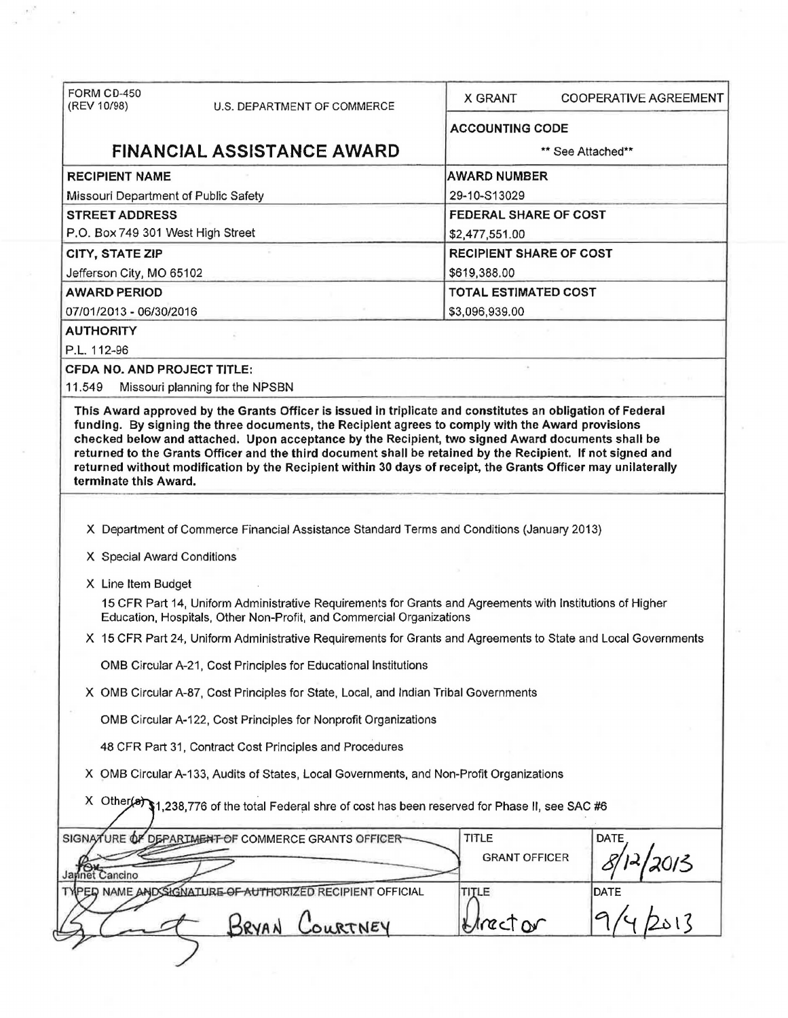| FORM CD-450<br>(REV 10/98)           | U.S. DEPARTMENT OF COMMERCE                                                                                    | <b>X GRANT</b>              | <b>COOPERATIVE AGREEMENT</b>   |  |  |
|--------------------------------------|----------------------------------------------------------------------------------------------------------------|-----------------------------|--------------------------------|--|--|
|                                      |                                                                                                                |                             | <b>ACCOUNTING CODE</b>         |  |  |
| <b>FINANCIAL ASSISTANCE AWARD</b>    |                                                                                                                |                             | ** See Attached**              |  |  |
| <b>RECIPIENT NAME</b>                |                                                                                                                | <b>AWARD NUMBER</b>         |                                |  |  |
| Missouri Department of Public Safety |                                                                                                                | 29-10-S13029                |                                |  |  |
| <b>STREET ADDRESS</b>                |                                                                                                                |                             | <b>FEDERAL SHARE OF COST</b>   |  |  |
| P.O. Box 749 301 West High Street    |                                                                                                                | \$2,477,551.00              |                                |  |  |
| <b>CITY, STATE ZIP</b>               |                                                                                                                |                             | <b>RECIPIENT SHARE OF COST</b> |  |  |
| Jefferson City, MO 65102             |                                                                                                                | \$619,388.00                |                                |  |  |
| <b>AWARD PERIOD</b>                  |                                                                                                                | <b>TOTAL ESTIMATED COST</b> |                                |  |  |
| 07/01/2013 - 06/30/2016              |                                                                                                                | \$3,096,939.00              |                                |  |  |
| <b>AUTHORITY</b>                     |                                                                                                                |                             |                                |  |  |
| P.L. 112-96                          |                                                                                                                |                             |                                |  |  |
| <b>CFDA NO. AND PROJECT TITLE:</b>   |                                                                                                                |                             |                                |  |  |
| 11.549                               | Missouri planning for the NPSBN                                                                                |                             |                                |  |  |
| terminate this Award.                | returned without modification by the Recipient within 30 days of receipt, the Grants Officer may unilaterally  |                             |                                |  |  |
|                                      | X Department of Commerce Financial Assistance Standard Terms and Conditions (January 2013)                     |                             |                                |  |  |
| X Special Award Conditions           |                                                                                                                |                             |                                |  |  |
| X Line Item Budget                   |                                                                                                                |                             |                                |  |  |
|                                      | 15 CFR Part 14, Uniform Administrative Requirements for Grants and Agreements with Institutions of Higher      |                             |                                |  |  |
|                                      | Education, Hospitals, Other Non-Profit, and Commercial Organizations                                           |                             |                                |  |  |
|                                      | X 15 CFR Part 24, Uniform Administrative Requirements for Grants and Agreements to State and Local Governments |                             |                                |  |  |
|                                      | OMB Circular A-21, Cost Principles for Educational Institutions                                                |                             |                                |  |  |
|                                      | X OMB Circular A-87, Cost Principles for State, Local, and Indian Tribal Governments                           |                             |                                |  |  |
|                                      | OMB Circular A-122, Cost Principles for Nonprofit Organizations                                                |                             |                                |  |  |
|                                      | 48 CFR Part 31, Contract Cost Principles and Procedures                                                        |                             |                                |  |  |
|                                      | X OMB Circular A-133, Audits of States, Local Governments, and Non-Profit Organizations                        |                             |                                |  |  |
|                                      | X Other(a) \$1,238,776 of the total Federal shre of cost has been reserved for Phase II, see SAC #6            |                             |                                |  |  |
|                                      | SIGNATURE OF DEPARTMENT OF COMMERCE GRANTS OFFICER                                                             | TITLE                       | <b>DATE</b>                    |  |  |
|                                      |                                                                                                                | <b>GRANT OFFICER</b>        |                                |  |  |
| Jayinet Cancino                      |                                                                                                                |                             | 2013                           |  |  |
|                                      | TYPED NAME AND SIGNATURE OF AUTHORIZED RECIPIENT OFFICIAL                                                      | TITLE                       | DATE                           |  |  |
|                                      | BRYAN<br>COURTNEY                                                                                              | LIMECTON                    |                                |  |  |

 $\overline{\phantom{a}}$